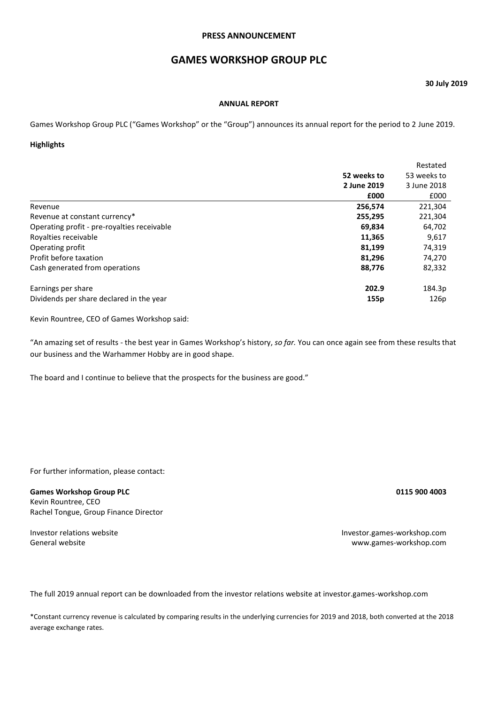## **PRESS ANNOUNCEMENT**

# **GAMES WORKSHOP GROUP PLC**

## **30 July 2019**

#### **ANNUAL REPORT**

Games Workshop Group PLC ("Games Workshop" or the "Group") announces its annual report for the period to 2 June 2019.

## **Highlights**

|                                             |             | Restated    |
|---------------------------------------------|-------------|-------------|
|                                             | 52 weeks to | 53 weeks to |
|                                             | 2 June 2019 | 3 June 2018 |
|                                             | £000        | £000        |
| Revenue                                     | 256,574     | 221,304     |
| Revenue at constant currency*               | 255,295     | 221,304     |
| Operating profit - pre-royalties receivable | 69,834      | 64,702      |
| Royalties receivable                        | 11,365      | 9,617       |
| Operating profit                            | 81,199      | 74,319      |
| Profit before taxation                      | 81,296      | 74,270      |
| Cash generated from operations              | 88,776      | 82,332      |
| Earnings per share                          | 202.9       | 184.3p      |
| Dividends per share declared in the year    | 155p        | 126p        |

Kevin Rountree, CEO of Games Workshop said:

"An amazing set of results - the best year in Games Workshop's history, *so far.* You can once again see from these results that our business and the Warhammer Hobby are in good shape.

The board and I continue to believe that the prospects for the business are good."

For further information, please contact:

# **Games Workshop Group PLC 0115 900 4003**

Kevin Rountree, CEO Rachel Tongue, Group Finance Director

Investor relations website Investor.games-workshop.com General website [www.games-workshop.com](http://www.games-workshop.com/)

The full 2019 annual report can be downloaded from the investor relations website at investor.games-workshop.com

\*Constant currency revenue is calculated by comparing results in the underlying currencies for 2019 and 2018, both converted at the 2018 average exchange rates.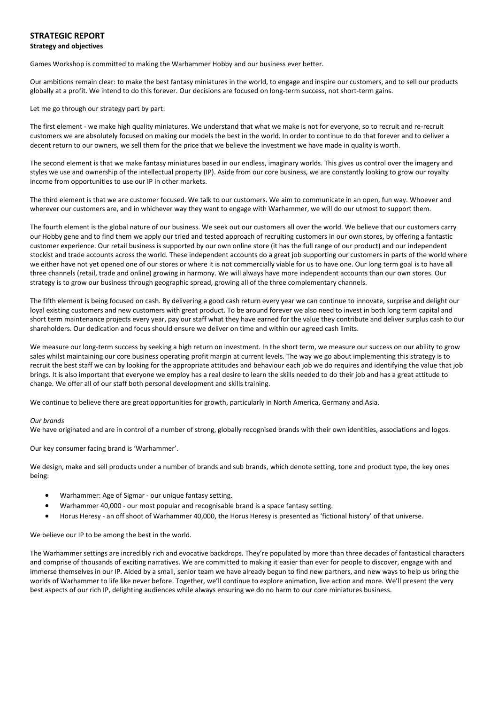## **STRATEGIC REPORT Strategy and objectives**

Games Workshop is committed to making the Warhammer Hobby and our business ever better.

Our ambitions remain clear: to make the best fantasy miniatures in the world, to engage and inspire our customers, and to sell our products globally at a profit. We intend to do this forever. Our decisions are focused on long-term success, not short-term gains.

Let me go through our strategy part by part:

The first element - we make high quality miniatures. We understand that what we make is not for everyone, so to recruit and re-recruit customers we are absolutely focused on making our models the best in the world. In order to continue to do that forever and to deliver a decent return to our owners, we sell them for the price that we believe the investment we have made in quality is worth.

The second element is that we make fantasy miniatures based in our endless, imaginary worlds. This gives us control over the imagery and styles we use and ownership of the intellectual property (IP). Aside from our core business, we are constantly looking to grow our royalty income from opportunities to use our IP in other markets.

The third element is that we are customer focused. We talk to our customers. We aim to communicate in an open, fun way. Whoever and wherever our customers are, and in whichever way they want to engage with Warhammer, we will do our utmost to support them.

The fourth element is the global nature of our business. We seek out our customers all over the world. We believe that our customers carry our Hobby gene and to find them we apply our tried and tested approach of recruiting customers in our own stores, by offering a fantastic customer experience. Our retail business is supported by our own online store (it has the full range of our product) and our independent stockist and trade accounts across the world. These independent accounts do a great job supporting our customers in parts of the world where we either have not yet opened one of our stores or where it is not commercially viable for us to have one. Our long term goal is to have all three channels (retail, trade and online) growing in harmony. We will always have more independent accounts than our own stores. Our strategy is to grow our business through geographic spread, growing all of the three complementary channels.

The fifth element is being focused on cash. By delivering a good cash return every year we can continue to innovate, surprise and delight our loyal existing customers and new customers with great product. To be around forever we also need to invest in both long term capital and short term maintenance projects every year, pay our staff what they have earned for the value they contribute and deliver surplus cash to our shareholders. Our dedication and focus should ensure we deliver on time and within our agreed cash limits.

We measure our long-term success by seeking a high return on investment. In the short term, we measure our success on our ability to grow sales whilst maintaining our core business operating profit margin at current levels. The way we go about implementing this strategy is to recruit the best staff we can by looking for the appropriate attitudes and behaviour each job we do requires and identifying the value that job brings. It is also important that everyone we employ has a real desire to learn the skills needed to do their job and has a great attitude to change. We offer all of our staff both personal development and skills training.

We continue to believe there are great opportunities for growth, particularly in North America, Germany and Asia.

#### *Our brands*

We have originated and are in control of a number of strong, globally recognised brands with their own identities, associations and logos.

Our key consumer facing brand is 'Warhammer'.

We design, make and sell products under a number of brands and sub brands, which denote setting, tone and product type, the key ones being:

- Warhammer: Age of Sigmar our unique fantasy setting.
- Warhammer 40,000 our most popular and recognisable brand is a space fantasy setting.
- Horus Heresy an off shoot of Warhammer 40,000, the Horus Heresy is presented as 'fictional history' of that universe.

We believe our IP to be among the best in the world.

The Warhammer settings are incredibly rich and evocative backdrops. They're populated by more than three decades of fantastical characters and comprise of thousands of exciting narratives. We are committed to making it easier than ever for people to discover, engage with and immerse themselves in our IP. Aided by a small, senior team we have already begun to find new partners, and new ways to help us bring the worlds of Warhammer to life like never before. Together, we'll continue to explore animation, live action and more. We'll present the very best aspects of our rich IP, delighting audiences while always ensuring we do no harm to our core miniatures business.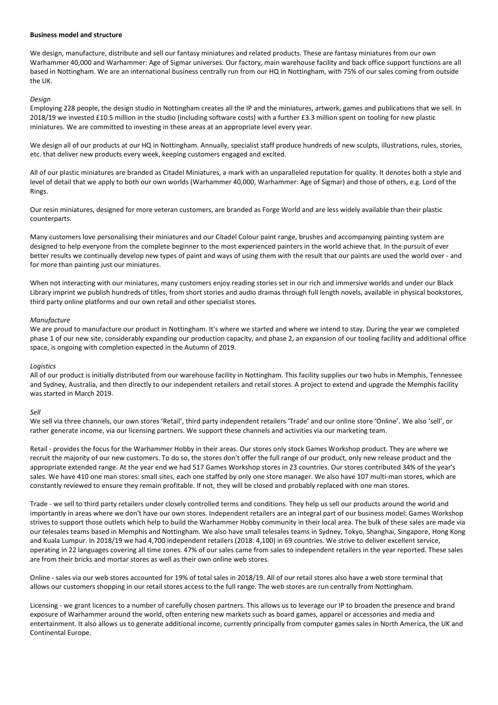#### **Business model and structure**

We design, manufacture, distribute and sell our fantasy miniatures and related products. These are fantasy miniatures from our own Warhammer 40,000 and Warhammer: Age of Sigmar universes. Our factory, main warehouse facility and back office support functions are all based in Nottingham. We are an international business centrally run from our HQ in Nottingham, with 75% of our sales coming from outside the UK.

#### *Design*

Employing 228 people, the design studio in Nottingham creates all the IP and the miniatures, artwork, games and publications that we sell. In 2018/19 we invested £10.5 million in the studio (including software costs) with a further £3.3 million spent on tooling for new plastic miniatures. We are committed to investing in these areas at an appropriate level every year.

We design all of our products at our HQ in Nottingham. Annually, specialist staff produce hundreds of new sculpts, illustrations, rules, stories, etc. that deliver new products every week, keeping customers engaged and excited.

All of our plastic miniatures are branded as Citadel Miniatures, a mark with an unparalleled reputation for quality. It denotes both a style and level of detail that we apply to both our own worlds (Warhammer 40,000, Warhammer: Age of Sigmar) and those of others, e.g. Lord of the Rings.

Our resin miniatures, designed for more veteran customers, are branded as Forge World and are less widely available than their plastic counterparts.

Many customers love personalising their miniatures and our Citadel Colour paint range, brushes and accompanying painting system are designed to help everyone from the complete beginner to the most experienced painters in the world achieve that. In the pursuit of ever better results we continually develop new types of paint and ways of using them with the result that our paints are used the world over - and for more than painting just our miniatures.

When not interacting with our miniatures, many customers enjoy reading stories set in our rich and immersive worlds and under our Black Library imprint we publish hundreds of titles, from short stories and audio dramas through full length novels, available in physical bookstores, third party online platforms and our own retail and other specialist stores.

#### *Manufacture*

We are proud to manufacture our product in Nottingham. It's where we started and where we intend to stay. During the year we completed phase 1 of our new site, considerably expanding our production capacity, and phase 2, an expansion of our tooling facility and additional office space, is ongoing with completion expected in the Autumn of 2019.

#### *Logistics*

All of our product is initially distributed from our warehouse facility in Nottingham. This facility supplies our two hubs in Memphis, Tennessee and Sydney, Australia, and then directly to our independent retailers and retail stores. A project to extend and upgrade the Memphis facility was started in March 2019.

#### *Sell*

We sell via three channels, our own stores 'Retail', third party independent retailers 'Trade' and our online store 'Online'. We also 'sell', or rather generate income, via our licensing partners. We support these channels and activities via our marketing team.

Retail - provides the focus for the Warhammer Hobby in their areas. Our stores only stock Games Workshop product. They are where we recruit the majority of our new customers. To do so, the stores don't offer the full range of our product, only new release product and the appropriate extended range. At the year end we had 517 Games Workshop stores in 23 countries. Our stores contributed 34% of the year's sales. We have 410 one man stores: small sites, each one staffed by only one store manager. We also have 107 multi-man stores, which are constantly reviewed to ensure they remain profitable. If not, they will be closed and probably replaced with one man stores.

Trade - we sell to third party retailers under closely controlled terms and conditions. They help us sell our products around the world and importantly in areas where we don't have our own stores. Independent retailers are an integral part of our business model: Games Workshop strives to support those outlets which help to build the Warhammer Hobby community in their local area. The bulk of these sales are made via our telesales teams based in Memphis and Nottingham. We also have small telesales teams in Sydney, Tokyo, Shanghai, Singapore, Hong Kong and Kuala Lumpur. In 2018/19 we had 4,700 independent retailers (2018: 4,100) in 69 countries. We strive to deliver excellent service, operating in 22 languages covering all time zones. 47% of our sales came from sales to independent retailers in the year reported. These sales are from their bricks and mortar stores as well as their own online web stores.

Online - sales via our web stores accounted for 19% of total sales in 2018/19. All of our retail stores also have a web store terminal that allows our customers shopping in our retail stores access to the full range. The web stores are run centrally from Nottingham.

Licensing - we grant licences to a number of carefully chosen partners. This allows us to leverage our IP to broaden the presence and brand exposure of Warhammer around the world, often entering new markets such as board games, apparel or accessories and media and entertainment. It also allows us to generate additional income, currently principally from computer games sales in North America, the UK and Continental Europe.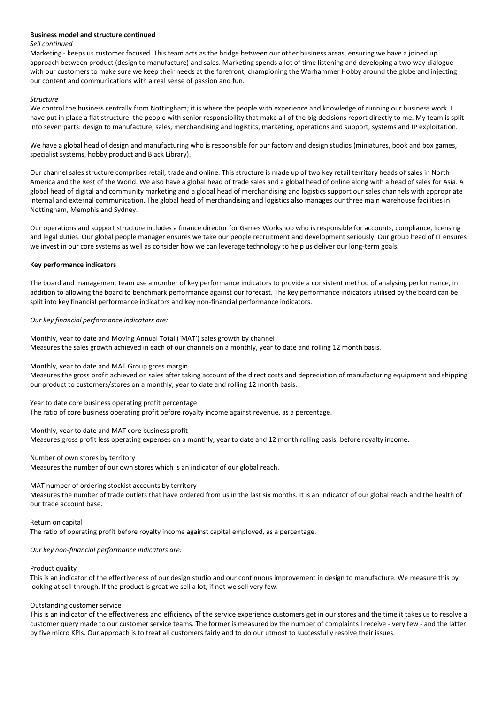#### **Business model and structure continued**

#### *Sell continued*

Marketing - keeps us customer focused. This team acts as the bridge between our other business areas, ensuring we have a joined up approach between product (design to manufacture) and sales. Marketing spends a lot of time listening and developing a two way dialogue with our customers to make sure we keep their needs at the forefront, championing the Warhammer Hobby around the globe and injecting our content and communications with a real sense of passion and fun.

#### *Structure*

We control the business centrally from Nottingham; it is where the people with experience and knowledge of running our business work. I have put in place a flat structure: the people with senior responsibility that make all of the big decisions report directly to me. My team is split into seven parts: design to manufacture, sales, merchandising and logistics, marketing, operations and support, systems and IP exploitation.

We have a global head of design and manufacturing who is responsible for our factory and design studios (miniatures, book and box games, specialist systems, hobby product and Black Library).

Our channel sales structure comprises retail, trade and online. This structure is made up of two key retail territory heads of sales in North America and the Rest of the World. We also have a global head of trade sales and a global head of online along with a head of sales for Asia. A global head of digital and community marketing and a global head of merchandising and logistics support our sales channels with appropriate internal and external communication. The global head of merchandising and logistics also manages our three main warehouse facilities in Nottingham, Memphis and Sydney.

Our operations and support structure includes a finance director for Games Workshop who is responsible for accounts, compliance, licensing and legal duties. Our global people manager ensures we take our people recruitment and development seriously. Our group head of IT ensures we invest in our core systems as well as consider how we can leverage technology to help us deliver our long-term goals.

#### **Key performance indicators**

The board and management team use a number of key performance indicators to provide a consistent method of analysing performance, in addition to allowing the board to benchmark performance against our forecast. The key performance indicators utilised by the board can be split into key financial performance indicators and key non-financial performance indicators.

#### *Our key financial performance indicators are:*

Monthly, year to date and Moving Annual Total ('MAT') sales growth by channel Measures the sales growth achieved in each of our channels on a monthly, year to date and rolling 12 month basis.

Monthly, year to date and MAT Group gross margin

Measures the gross profit achieved on sales after taking account of the direct costs and depreciation of manufacturing equipment and shipping our product to customers/stores on a monthly, year to date and rolling 12 month basis.

Year to date core business operating profit percentage The ratio of core business operating profit before royalty income against revenue, as a percentage.

Monthly, year to date and MAT core business profit Measures gross profit less operating expenses on a monthly, year to date and 12 month rolling basis, before royalty income.

#### Number of own stores by territory

Measures the number of our own stores which is an indicator of our global reach.

MAT number of ordering stockist accounts by territory Measures the number of trade outlets that have ordered from us in the last six months. It is an indicator of our global reach and the health of our trade account base.

Return on capital The ratio of operating profit before royalty income against capital employed, as a percentage.

*Our key non-financial performance indicators are:*

#### Product quality

This is an indicator of the effectiveness of our design studio and our continuous improvement in design to manufacture. We measure this by looking at sell through. If the product is great we sell a lot, if not we sell very few.

#### Outstanding customer service

This is an indicator of the effectiveness and efficiency of the service experience customers get in our stores and the time it takes us to resolve a customer query made to our customer service teams. The former is measured by the number of complaints I receive - very few - and the latter by five micro KPIs. Our approach is to treat all customers fairly and to do our utmost to successfully resolve their issues.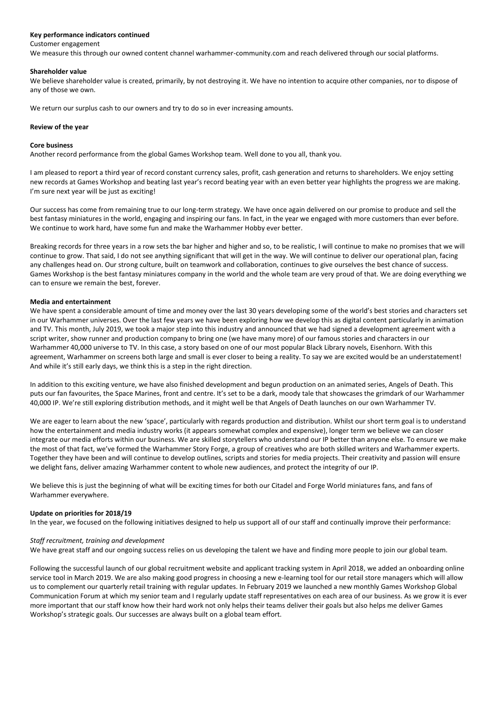#### **Key performance indicators continued**

#### Customer engagement

We measure this through our owned content channel warhammer-community.com and reach delivered through our social platforms.

#### **Shareholder value**

We believe shareholder value is created, primarily, by not destroying it. We have no intention to acquire other companies, nor to dispose of any of those we own.

We return our surplus cash to our owners and try to do so in ever increasing amounts.

#### **Review of the year**

#### **Core business**

Another record performance from the global Games Workshop team. Well done to you all, thank you.

I am pleased to report a third year of record constant currency sales, profit, cash generation and returns to shareholders. We enjoy setting new records at Games Workshop and beating last year's record beating year with an even better year highlights the progress we are making. I'm sure next year will be just as exciting!

Our success has come from remaining true to our long-term strategy. We have once again delivered on our promise to produce and sell the best fantasy miniatures in the world, engaging and inspiring our fans. In fact, in the year we engaged with more customers than ever before. We continue to work hard, have some fun and make the Warhammer Hobby ever better.

Breaking records for three years in a row sets the bar higher and higher and so, to be realistic, I will continue to make no promises that we will continue to grow. That said, I do not see anything significant that will get in the way. We will continue to deliver our operational plan, facing any challenges head on. Our strong culture, built on teamwork and collaboration, continues to give ourselves the best chance of success. Games Workshop is the best fantasy miniatures company in the world and the whole team are very proud of that. We are doing everything we can to ensure we remain the best, forever.

#### **Media and entertainment**

We have spent a considerable amount of time and money over the last 30 years developing some of the world's best stories and characters set in our Warhammer universes. Over the last few years we have been exploring how we develop this as digital content particularly in animation and TV. This month, July 2019, we took a major step into this industry and announced that we had signed a development agreement with a script writer, show runner and production company to bring one (we have many more) of our famous stories and characters in our Warhammer 40,000 universe to TV. In this case, a story based on one of our most popular Black Library novels, Eisenhorn. With this agreement, Warhammer on screens both large and small is ever closer to being a reality. To say we are excited would be an understatement! And while it's still early days, we think this is a step in the right direction.

In addition to this exciting venture, we have also finished development and begun production on an animated series, Angels of Death. This puts our fan favourites, the Space Marines, front and centre. It's set to be a dark, moody tale that showcases the grimdark of our Warhammer 40,000 IP. We're still exploring distribution methods, and it might well be that Angels of Death launches on our own Warhammer TV.

We are eager to learn about the new 'space', particularly with regards production and distribution. Whilst our short term goal is to understand how the entertainment and media industry works (it appears somewhat complex and expensive), longer term we believe we can closer integrate our media efforts within our business. We are skilled storytellers who understand our IP better than anyone else. To ensure we make the most of that fact, we've formed the Warhammer Story Forge, a group of creatives who are both skilled writers and Warhammer experts. Together they have been and will continue to develop outlines, scripts and stories for media projects. Their creativity and passion will ensure we delight fans, deliver amazing Warhammer content to whole new audiences, and protect the integrity of our IP.

We believe this is just the beginning of what will be exciting times for both our Citadel and Forge World miniatures fans, and fans of Warhammer everywhere.

#### **Update on priorities for 2018/19**

In the year, we focused on the following initiatives designed to help us support all of our staff and continually improve their performance:

#### *Staff recruitment, training and development*

We have great staff and our ongoing success relies on us developing the talent we have and finding more people to join our global team.

Following the successful launch of our global recruitment website and applicant tracking system in April 2018, we added an onboarding online service tool in March 2019. We are also making good progress in choosing a new e-learning tool for our retail store managers which will allow us to complement our quarterly retail training with regular updates. In February 2019 we launched a new monthly Games Workshop Global Communication Forum at which my senior team and I regularly update staff representatives on each area of our business. As we grow it is ever more important that our staff know how their hard work not only helps their teams deliver their goals but also helps me deliver Games Workshop's strategic goals. Our successes are always built on a global team effort.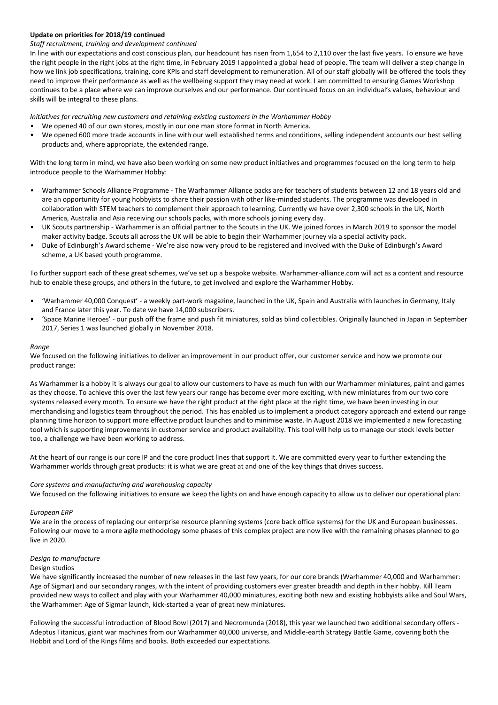#### **Update on priorities for 2018/19 continued**

## *Staff recruitment, training and development continued*

In line with our expectations and cost conscious plan, our headcount has risen from 1,654 to 2,110 over the last five years. To ensure we have the right people in the right jobs at the right time, in February 2019 I appointed a global head of people. The team will deliver a step change in how we link job specifications, training, core KPIs and staff development to remuneration. All of our staff globally will be offered the tools they need to improve their performance as well as the wellbeing support they may need at work. I am committed to ensuring Games Workshop continues to be a place where we can improve ourselves and our performance. Our continued focus on an individual's values, behaviour and skills will be integral to these plans.

*Initiatives for recruiting new customers and retaining existing customers in the Warhammer Hobby*

- *•* We opened 40 of our own stores, mostly in our one man store format in North America.
- We opened 600 more trade accounts in line with our well established terms and conditions, selling independent accounts our best selling products and, where appropriate, the extended range.

With the long term in mind, we have also been working on some new product initiatives and programmes focused on the long term to help introduce people to the Warhammer Hobby:

- *•* Warhammer Schools Alliance Programme The Warhammer Alliance packs are for teachers of students between 12 and 18 years old and are an opportunity for young hobbyists to share their passion with other like-minded students. The programme was developed in collaboration with STEM teachers to complement their approach to learning. Currently we have over 2,300 schools in the UK, North America, Australia and Asia receiving our schools packs, with more schools joining every day.
- *•* UK Scouts partnership Warhammer is an official partner to the Scouts in the UK. We joined forces in March 2019 to sponsor the model maker activity badge. Scouts all across the UK will be able to begin their Warhammer journey via a special activity pack.
- *•* Duke of Edinburgh's Award scheme We're also now very proud to be registered and involved with the Duke of Edinburgh's Award scheme, a UK based youth programme.

To further support each of these great schemes, we've set up a bespoke website. Warhammer-alliance.com will act as a content and resource hub to enable these groups, and others in the future, to get involved and explore the Warhammer Hobby.

- *•* 'Warhammer 40,000 Conquest' a weekly part-work magazine, launched in the UK, Spain and Australia with launches in Germany, Italy and France later this year. To date we have 14,000 subscribers.
- *•* 'Space Marine Heroes' our push off the frame and push fit miniatures, sold as blind collectibles. Originally launched in Japan in September 2017, Series 1 was launched globally in November 2018.

#### *Range*

We focused on the following initiatives to deliver an improvement in our product offer, our customer service and how we promote our product range:

As Warhammer is a hobby it is always our goal to allow our customers to have as much fun with our Warhammer miniatures, paint and games as they choose. To achieve this over the last few years our range has become ever more exciting, with new miniatures from our two core systems released every month. To ensure we have the right product at the right place at the right time, we have been investing in our merchandising and logistics team throughout the period. This has enabled us to implement a product category approach and extend our range planning time horizon to support more effective product launches and to minimise waste. In August 2018 we implemented a new forecasting tool which is supporting improvements in customer service and product availability. This tool will help us to manage our stock levels better too, a challenge we have been working to address.

At the heart of our range is our core IP and the core product lines that support it. We are committed every year to further extending the Warhammer worlds through great products: it is what we are great at and one of the key things that drives success.

#### *Core systems and manufacturing and warehousing capacity*

We focused on the following initiatives to ensure we keep the lights on and have enough capacity to allow us to deliver our operational plan:

#### *European ERP*

We are in the process of replacing our enterprise resource planning systems (core back office systems) for the UK and European businesses. Following our move to a more agile methodology some phases of this complex project are now live with the remaining phases planned to go live in 2020.

## *Design to manufacture*

#### Design studios

We have significantly increased the number of new releases in the last few years, for our core brands (Warhammer 40,000 and Warhammer: Age of Sigmar) and our secondary ranges, with the intent of providing customers ever greater breadth and depth in their hobby. Kill Team provided new ways to collect and play with your Warhammer 40,000 miniatures, exciting both new and existing hobbyists alike and Soul Wars, the Warhammer: Age of Sigmar launch, kick-started a year of great new miniatures.

Following the successful introduction of Blood Bowl (2017) and Necromunda (2018), this year we launched two additional secondary offers - Adeptus Titanicus, giant war machines from our Warhammer 40,000 universe, and Middle-earth Strategy Battle Game, covering both the Hobbit and Lord of the Rings films and books. Both exceeded our expectations.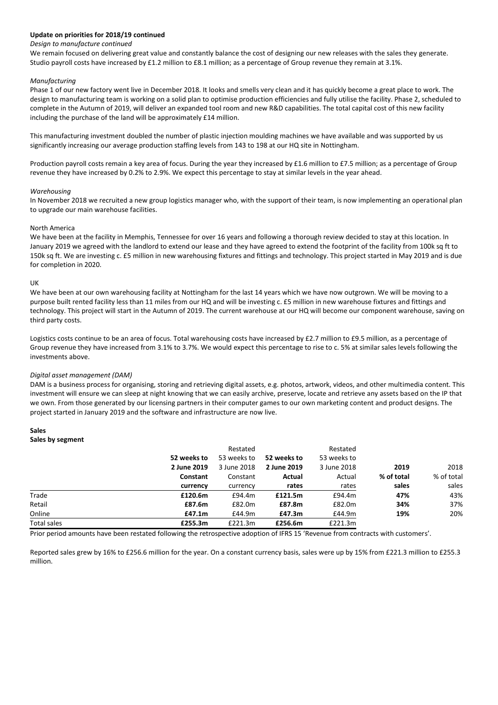#### **Update on priorities for 2018/19 continued**

#### *Design to manufacture continued*

We remain focused on delivering great value and constantly balance the cost of designing our new releases with the sales they generate. Studio payroll costs have increased by £1.2 million to £8.1 million; as a percentage of Group revenue they remain at 3.1%.

#### *Manufacturing*

Phase 1 of our new factory went live in December 2018. It looks and smells very clean and it has quickly become a great place to work. The design to manufacturing team is working on a solid plan to optimise production efficiencies and fully utilise the facility. Phase 2, scheduled to complete in the Autumn of 2019, will deliver an expanded tool room and new R&D capabilities. The total capital cost of this new facility including the purchase of the land will be approximately £14 million.

This manufacturing investment doubled the number of plastic injection moulding machines we have available and was supported by us significantly increasing our average production staffing levels from 143 to 198 at our HQ site in Nottingham.

Production payroll costs remain a key area of focus. During the year they increased by £1.6 million to £7.5 million; as a percentage of Group revenue they have increased by 0.2% to 2.9%. We expect this percentage to stay at similar levels in the year ahead.

#### *Warehousing*

In November 2018 we recruited a new group logistics manager who, with the support of their team, is now implementing an operational plan to upgrade our main warehouse facilities.

#### North America

We have been at the facility in Memphis, Tennessee for over 16 years and following a thorough review decided to stay at this location. In January 2019 we agreed with the landlord to extend our lease and they have agreed to extend the footprint of the facility from 100k sq ft to 150k sq ft. We are investing c. £5 million in new warehousing fixtures and fittings and technology. This project started in May 2019 and is due for completion in 2020.

#### UK

We have been at our own warehousing facility at Nottingham for the last 14 years which we have now outgrown. We will be moving to a purpose built rented facility less than 11 miles from our HQ and will be investing c. £5 million in new warehouse fixtures and fittings and technology. This project will start in the Autumn of 2019. The current warehouse at our HQ will become our component warehouse, saving on third party costs.

Logistics costs continue to be an area of focus. Total warehousing costs have increased by £2.7 million to £9.5 million, as a percentage of Group revenue they have increased from 3.1% to 3.7%. We would expect this percentage to rise to c. 5% at similar sales levels following the investments above.

#### *Digital asset management (DAM)*

DAM is a business process for organising, storing and retrieving digital assets, e.g. photos, artwork, videos, and other multimedia content. This investment will ensure we can sleep at night knowing that we can easily archive, preserve, locate and retrieve any assets based on the IP that we own. From those generated by our licensing partners in their computer games to our own marketing content and product designs. The project started in January 2019 and the software and infrastructure are now live.

#### **Sales**

| Sales by segment   |             |             |             |             |            |            |
|--------------------|-------------|-------------|-------------|-------------|------------|------------|
|                    |             | Restated    |             | Restated    |            |            |
|                    | 52 weeks to | 53 weeks to | 52 weeks to | 53 weeks to |            |            |
|                    | 2 June 2019 | 3 June 2018 | 2 June 2019 | 3 June 2018 | 2019       | 2018       |
|                    | Constant    | Constant    | Actual      | Actual      | % of total | % of total |
|                    | currency    | currency    | rates       | rates       | sales      | sales      |
| Trade              | £120.6m     | £94.4m      | £121.5m     | £94.4m      | 47%        | 43%        |
| Retail             | £87.6m      | £82.0m      | £87.8m      | £82.0m      | 34%        | 37%        |
| Online             | £47.1m      | £44.9m      | £47.3m      | £44.9m      | 19%        | 20%        |
| <b>Total sales</b> | £255.3m     | £221.3m     | £256.6m     | £221.3m     |            |            |

Prior period amounts have been restated following the retrospective adoption of IFRS 15 'Revenue from contracts with customers'.

Reported sales grew by 16% to £256.6 million for the year. On a constant currency basis, sales were up by 15% from £221.3 million to £255.3 million.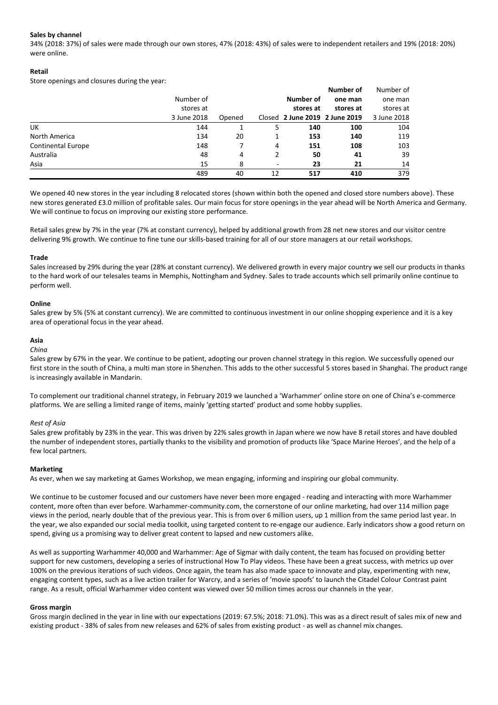## **Sales by channel**

34% (2018: 37%) of sales were made through our own stores, 47% (2018: 43%) of sales were to independent retailers and 19% (2018: 20%) were online.

### **Retail**

Store openings and closures during the year:

|                           |             |        |                          |           | <b>Number of</b>               | Number of   |
|---------------------------|-------------|--------|--------------------------|-----------|--------------------------------|-------------|
|                           | Number of   |        |                          | Number of | one man                        | one man     |
|                           | stores at   |        |                          | stores at | stores at                      | stores at   |
|                           | 3 June 2018 | Opened |                          |           | Closed 2 June 2019 2 June 2019 | 3 June 2018 |
| UK                        | 144         |        | 5                        | 140       | 100                            | 104         |
| North America             | 134         | 20     |                          | 153       | 140                            | 119         |
| <b>Continental Europe</b> | 148         |        | 4                        | 151       | 108                            | 103         |
| Australia                 | 48          | 4      |                          | 50        | 41                             | 39          |
| Asia                      | 15          | 8      | $\overline{\phantom{a}}$ | 23        | 21                             | 14          |
|                           | 489         | 40     | 12                       | 517       | 410                            | 379         |

We opened 40 new stores in the year including 8 relocated stores (shown within both the opened and closed store numbers above). These new stores generated £3.0 million of profitable sales. Our main focus for store openings in the year ahead will be North America and Germany. We will continue to focus on improving our existing store performance.

Retail sales grew by 7% in the year (7% at constant currency), helped by additional growth from 28 net new stores and our visitor centre delivering 9% growth. We continue to fine tune our skills-based training for all of our store managers at our retail workshops.

#### **Trade**

Sales increased by 29% during the year (28% at constant currency). We delivered growth in every major country we sell our products in thanks to the hard work of our telesales teams in Memphis, Nottingham and Sydney. Sales to trade accounts which sell primarily online continue to perform well.

#### **Online**

Sales grew by 5% (5% at constant currency). We are committed to continuous investment in our online shopping experience and it is a key area of operational focus in the year ahead.

#### **Asia**

#### *China*

Sales grew by 67% in the year. We continue to be patient, adopting our proven channel strategy in this region. We successfully opened our first store in the south of China, a multi man store in Shenzhen. This adds to the other successful 5 stores based in Shanghai. The product range is increasingly available in Mandarin.

To complement our traditional channel strategy, in February 2019 we launched a 'Warhammer' online store on one of China's e-commerce platforms. We are selling a limited range of items, mainly 'getting started' product and some hobby supplies.

#### *Rest of Asia*

Sales grew profitably by 23% in the year. This was driven by 22% sales growth in Japan where we now have 8 retail stores and have doubled the number of independent stores, partially thanks to the visibility and promotion of products like 'Space Marine Heroes', and the help of a few local partners.

#### **Marketing**

As ever, when we say marketing at Games Workshop, we mean engaging, informing and inspiring our global community.

We continue to be customer focused and our customers have never been more engaged - reading and interacting with more Warhammer content, more often than ever before. Warhammer-community.com, the cornerstone of our online marketing, had over 114 million page views in the period, nearly double that of the previous year. This is from over 6 million users, up 1 million from the same period last year. In the year, we also expanded our social media toolkit, using targeted content to re-engage our audience. Early indicators show a good return on spend, giving us a promising way to deliver great content to lapsed and new customers alike.

As well as supporting Warhammer 40,000 and Warhammer: Age of Sigmar with daily content, the team has focused on providing better support for new customers, developing a series of instructional How To Play videos. These have been a great success, with metrics up over 100% on the previous iterations of such videos. Once again, the team has also made space to innovate and play, experimenting with new, engaging content types, such as a live action trailer for Warcry, and a series of 'movie spoofs' to launch the Citadel Colour Contrast paint range. As a result, official Warhammer video content was viewed over 50 million times across our channels in the year.

#### **Gross margin**

Gross margin declined in the year in line with our expectations (2019: 67.5%; 2018: 71.0%). This was as a direct result of sales mix of new and existing product - 38% of sales from new releases and 62% of sales from existing product - as well as channel mix changes.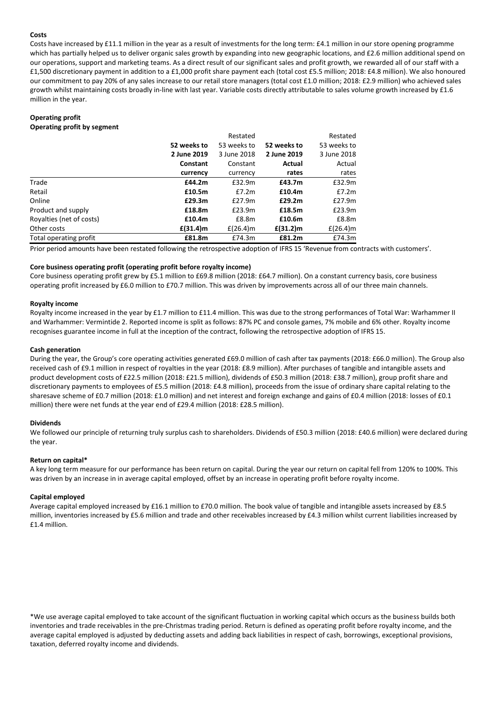### **Costs**

Costs have increased by £11.1 million in the year as a result of investments for the long term: £4.1 million in our store opening programme which has partially helped us to deliver organic sales growth by expanding into new geographic locations, and £2.6 million additional spend on our operations, support and marketing teams. As a direct result of our significant sales and profit growth, we rewarded all of our staff with a £1,500 discretionary payment in addition to a £1,000 profit share payment each (total cost £5.5 million; 2018: £4.8 million). We also honoured our commitment to pay 20% of any sales increase to our retail store managers (total cost £1.0 million; 2018: £2.9 million) who achieved sales growth whilst maintaining costs broadly in-line with last year. Variable costs directly attributable to sales volume growth increased by £1.6 million in the year.

# **Operating profit**

**Operating profit by segment**

|                          |                 | Restated     |             | Restated     |
|--------------------------|-----------------|--------------|-------------|--------------|
|                          | 52 weeks to     | 53 weeks to  | 52 weeks to | 53 weeks to  |
|                          | 2 June 2019     | 3 June 2018  | 2 June 2019 | 3 June 2018  |
|                          | <b>Constant</b> | Constant     | Actual      | Actual       |
|                          | currency        | currency     | rates       | rates        |
| Trade                    | £44.2m          | £32.9m       | £43.7m      | £32.9m       |
| Retail                   | £10.5m          | £7.2m        | £10.4m      | £7.2m        |
| Online                   | £29.3m          | £27.9m       | £29.2m      | £27.9m       |
| Product and supply       | £18.8m          | £23.9m       | £18.5m      | £23.9m       |
| Royalties (net of costs) | £10.4m          | £8.8m        | £10.6m      | £8.8m        |
| Other costs              | $f(31.4)$ m     | £ $(26.4)$ m | $E(31.2)$ m | £ $(26.4)$ m |
| Total operating profit   | £81.8m          | £74.3m       | £81.2m      | £74.3m       |

Prior period amounts have been restated following the retrospective adoption of IFRS 15 'Revenue from contracts with customers'.

#### **Core business operating profit (operating profit before royalty income)**

Core business operating profit grew by £5.1 million to £69.8 million (2018: £64.7 million). On a constant currency basis, core business operating profit increased by £6.0 million to £70.7 million. This was driven by improvements across all of our three main channels.

#### **Royalty income**

Royalty income increased in the year by £1.7 million to £11.4 million. This was due to the strong performances of Total War: Warhammer II and Warhammer: Vermintide 2. Reported income is split as follows: 87% PC and console games, 7% mobile and 6% other. Royalty income recognises guarantee income in full at the inception of the contract, following the retrospective adoption of IFRS 15.

#### **Cash generation**

During the year, the Group's core operating activities generated £69.0 million of cash after tax payments (2018: £66.0 million). The Group also received cash of £9.1 million in respect of royalties in the year (2018: £8.9 million). After purchases of tangible and intangible assets and product development costs of £22.5 million (2018: £21.5 million), dividends of £50.3 million (2018: £38.7 million), group profit share and discretionary payments to employees of £5.5 million (2018: £4.8 million), proceeds from the issue of ordinary share capital relating to the sharesave scheme of £0.7 million (2018: £1.0 million) and net interest and foreign exchange and gains of £0.4 million (2018: losses of £0.1 million) there were net funds at the year end of £29.4 million (2018: £28.5 million).

#### **Dividends**

We followed our principle of returning truly surplus cash to shareholders. Dividends of £50.3 million (2018: £40.6 million) were declared during the year.

#### **Return on capital\***

A key long term measure for our performance has been return on capital. During the year our return on capital fell from 120% to 100%. This was driven by an increase in in average capital employed, offset by an increase in operating profit before royalty income.

#### **Capital employed**

Average capital employed increased by £16.1 million to £70.0 million. The book value of tangible and intangible assets increased by £8.5 million, inventories increased by £5.6 million and trade and other receivables increased by £4.3 million whilst current liabilities increased by £1.4 million.

\*We use average capital employed to take account of the significant fluctuation in working capital which occurs as the business builds both inventories and trade receivables in the pre-Christmas trading period. Return is defined as operating profit before royalty income, and the average capital employed is adjusted by deducting assets and adding back liabilities in respect of cash, borrowings, exceptional provisions, taxation, deferred royalty income and dividends.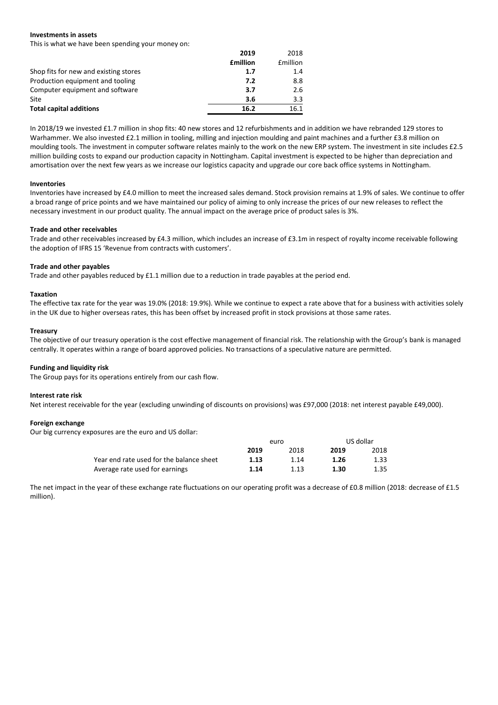#### **Investments in assets**

This is what we have been spending your money on:

|                                       | 2019            | 2018             |
|---------------------------------------|-----------------|------------------|
|                                       | <b>£million</b> | <b>f</b> million |
| Shop fits for new and existing stores | 1.7             | 1.4              |
| Production equipment and tooling      | 7.2             | 8.8              |
| Computer equipment and software       | 3.7             | 2.6              |
| Site                                  | 3.6             | 3.3              |
| <b>Total capital additions</b>        | 16.2            | 16.1             |

In 2018/19 we invested £1.7 million in shop fits: 40 new stores and 12 refurbishments and in addition we have rebranded 129 stores to Warhammer. We also invested £2.1 million in tooling, milling and injection moulding and paint machines and a further £3.8 million on moulding tools. The investment in computer software relates mainly to the work on the new ERP system. The investment in site includes £2.5 million building costs to expand our production capacity in Nottingham. Capital investment is expected to be higher than depreciation and amortisation over the next few years as we increase our logistics capacity and upgrade our core back office systems in Nottingham.

#### **Inventories**

Inventories have increased by £4.0 million to meet the increased sales demand. Stock provision remains at 1.9% of sales. We continue to offer a broad range of price points and we have maintained our policy of aiming to only increase the prices of our new releases to reflect the necessary investment in our product quality. The annual impact on the average price of product sales is 3%.

#### **Trade and other receivables**

Trade and other receivables increased by £4.3 million, which includes an increase of £3.1m in respect of royalty income receivable following the adoption of IFRS 15 'Revenue from contracts with customers'.

#### **Trade and other payables**

Trade and other payables reduced by £1.1 million due to a reduction in trade payables at the period end.

#### **Taxation**

The effective tax rate for the year was 19.0% (2018: 19.9%). While we continue to expect a rate above that for a business with activities solely in the UK due to higher overseas rates, this has been offset by increased profit in stock provisions at those same rates.

#### **Treasury**

The objective of our treasury operation is the cost effective management of financial risk. The relationship with the Group's bank is managed centrally. It operates within a range of board approved policies. No transactions of a speculative nature are permitted.

#### **Funding and liquidity risk**

The Group pays for its operations entirely from our cash flow.

#### **Interest rate risk**

Net interest receivable for the year (excluding unwinding of discounts on provisions) was £97,000 (2018: net interest payable £49,000).

#### **Foreign exchange**

Our big currency exposures are the euro and US dollar:

|                                          | euro |      | US dollar |      |
|------------------------------------------|------|------|-----------|------|
|                                          | 2019 | 2018 | 2019      | 2018 |
| Year end rate used for the balance sheet | 1.13 | 1.14 | 1.26      | 1.33 |
| Average rate used for earnings           | 1.14 | 1.13 | 1.30      | 1.35 |

The net impact in the year of these exchange rate fluctuations on our operating profit was a decrease of £0.8 million (2018: decrease of £1.5 million).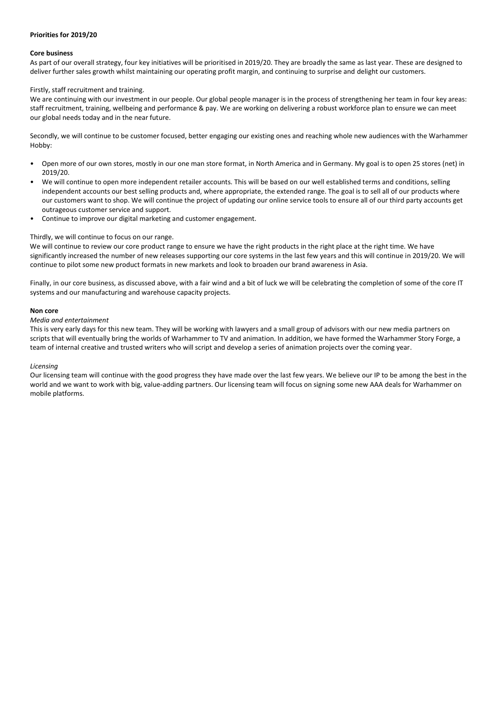#### **Priorities for 2019/20**

#### **Core business**

As part of our overall strategy, four key initiatives will be prioritised in 2019/20. They are broadly the same as last year. These are designed to deliver further sales growth whilst maintaining our operating profit margin, and continuing to surprise and delight our customers.

## Firstly, staff recruitment and training.

We are continuing with our investment in our people. Our global people manager is in the process of strengthening her team in four key areas: staff recruitment, training, wellbeing and performance & pay. We are working on delivering a robust workforce plan to ensure we can meet our global needs today and in the near future.

Secondly, we will continue to be customer focused, better engaging our existing ones and reaching whole new audiences with the Warhammer Hobby:

- Open more of our own stores, mostly in our one man store format, in North America and in Germany. My goal is to open 25 stores (net) in 2019/20.
- We will continue to open more independent retailer accounts. This will be based on our well established terms and conditions, selling independent accounts our best selling products and, where appropriate, the extended range. The goal is to sell all of our products where our customers want to shop. We will continue the project of updating our online service tools to ensure all of our third party accounts get outrageous customer service and support.
- Continue to improve our digital marketing and customer engagement.

#### Thirdly, we will continue to focus on our range.

We will continue to review our core product range to ensure we have the right products in the right place at the right time. We have significantly increased the number of new releases supporting our core systems in the last few years and this will continue in 2019/20. We will continue to pilot some new product formats in new markets and look to broaden our brand awareness in Asia.

Finally, in our core business, as discussed above, with a fair wind and a bit of luck we will be celebrating the completion of some of the core IT systems and our manufacturing and warehouse capacity projects.

#### **Non core**

#### *Media and entertainment*

This is very early days for this new team. They will be working with lawyers and a small group of advisors with our new media partners on scripts that will eventually bring the worlds of Warhammer to TV and animation. In addition, we have formed the Warhammer Story Forge, a team of internal creative and trusted writers who will script and develop a series of animation projects over the coming year.

#### *Licensing*

Our licensing team will continue with the good progress they have made over the last few years. We believe our IP to be among the best in the world and we want to work with big, value-adding partners. Our licensing team will focus on signing some new AAA deals for Warhammer on mobile platforms.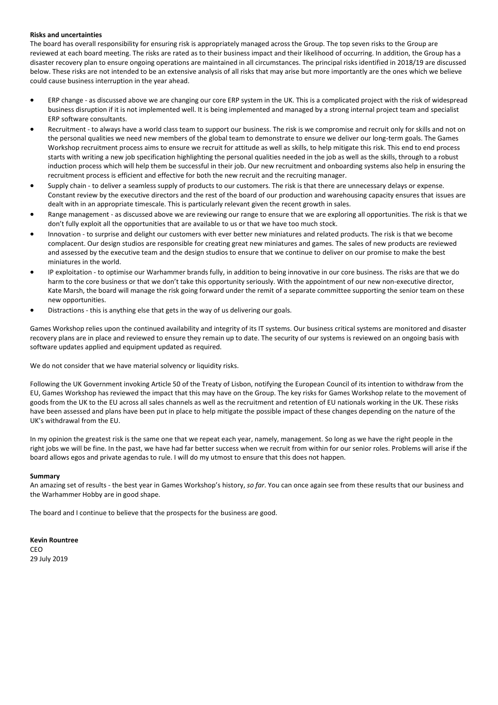#### **Risks and uncertainties**

The board has overall responsibility for ensuring risk is appropriately managed across the Group. The top seven risks to the Group are reviewed at each board meeting. The risks are rated as to their business impact and their likelihood of occurring. In addition, the Group has a disaster recovery plan to ensure ongoing operations are maintained in all circumstances. The principal risks identified in 2018/19 are discussed below. These risks are not intended to be an extensive analysis of all risks that may arise but more importantly are the ones which we believe could cause business interruption in the year ahead.

- ERP change as discussed above we are changing our core ERP system in the UK. This is a complicated project with the risk of widespread business disruption if it is not implemented well. It is being implemented and managed by a strong internal project team and specialist ERP software consultants.
- Recruitment to always have a world class team to support our business. The risk is we compromise and recruit only for skills and not on the personal qualities we need new members of the global team to demonstrate to ensure we deliver our long-term goals. The Games Workshop recruitment process aims to ensure we recruit for attitude as well as skills, to help mitigate this risk. This end to end process starts with writing a new job specification highlighting the personal qualities needed in the job as well as the skills, through to a robust induction process which will help them be successful in their job. Our new recruitment and onboarding systems also help in ensuring the recruitment process is efficient and effective for both the new recruit and the recruiting manager.
- Supply chain to deliver a seamless supply of products to our customers. The risk is that there are unnecessary delays or expense. Constant review by the executive directors and the rest of the board of our production and warehousing capacity ensures that issues are dealt with in an appropriate timescale. This is particularly relevant given the recent growth in sales.
- Range management as discussed above we are reviewing our range to ensure that we are exploring all opportunities. The risk is that we don't fully exploit all the opportunities that are available to us or that we have too much stock.
- Innovation to surprise and delight our customers with ever better new miniatures and related products. The risk is that we become complacent. Our design studios are responsible for creating great new miniatures and games. The sales of new products are reviewed and assessed by the executive team and the design studios to ensure that we continue to deliver on our promise to make the best miniatures in the world.
- IP exploitation to optimise our Warhammer brands fully, in addition to being innovative in our core business. The risks are that we do harm to the core business or that we don't take this opportunity seriously. With the appointment of our new non-executive director, Kate Marsh, the board will manage the risk going forward under the remit of a separate committee supporting the senior team on these new opportunities.
- Distractions this is anything else that gets in the way of us delivering our goals.

Games Workshop relies upon the continued availability and integrity of its IT systems. Our business critical systems are monitored and disaster recovery plans are in place and reviewed to ensure they remain up to date. The security of our systems is reviewed on an ongoing basis with software updates applied and equipment updated as required.

We do not consider that we have material solvency or liquidity risks.

Following the UK Government invoking Article 50 of the Treaty of Lisbon, notifying the European Council of its intention to withdraw from the EU, Games Workshop has reviewed the impact that this may have on the Group. The key risks for Games Workshop relate to the movement of goods from the UK to the EU across all sales channels as well as the recruitment and retention of EU nationals working in the UK. These risks have been assessed and plans have been put in place to help mitigate the possible impact of these changes depending on the nature of the UK's withdrawal from the EU.

In my opinion the greatest risk is the same one that we repeat each year, namely, management. So long as we have the right people in the right jobs we will be fine. In the past, we have had far better success when we recruit from within for our senior roles. Problems will arise if the board allows egos and private agendas to rule. I will do my utmost to ensure that this does not happen.

#### **Summary**

An amazing set of results - the best year in Games Workshop's history, *so far*. You can once again see from these results that our business and the Warhammer Hobby are in good shape.

The board and I continue to believe that the prospects for the business are good.

#### **Kevin Rountree**

CEO 29 July 2019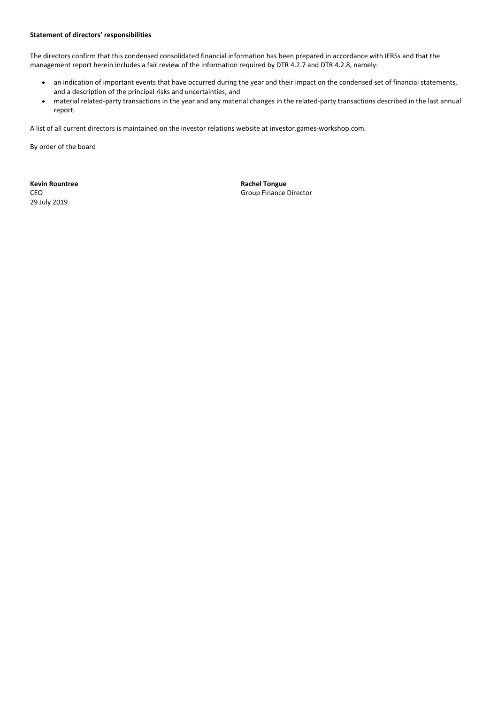#### **Statement of directors' responsibilities**

The directors confirm that this condensed consolidated financial information has been prepared in accordance with IFRSs and that the management report herein includes a fair review of the information required by DTR 4.2.7 and DTR 4.2.8, namely:

- an indication of important events that have occurred during the year and their impact on the condensed set of financial statements, and a description of the principal risks and uncertainties; and
- material related-party transactions in the year and any material changes in the related-party transactions described in the last annual report.

A list of all current directors is maintained on the investor relations website at [investor.games-workshop.com.](http://investor.games-workshop.com/)

By order of the board

**Kevin Rountree <b>Rachel Tongue Rachel Tongue** 29 July 2019

CEO Group Finance Director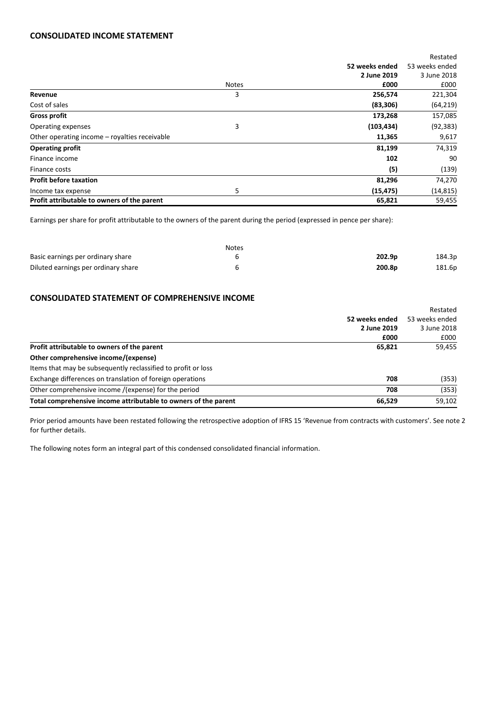## **CONSOLIDATED INCOME STATEMENT**

|                                               |              |                | Restated       |
|-----------------------------------------------|--------------|----------------|----------------|
|                                               |              | 52 weeks ended | 53 weeks ended |
|                                               |              | 2 June 2019    | 3 June 2018    |
|                                               | <b>Notes</b> | £000           | £000           |
| Revenue                                       | 3            | 256,574        | 221,304        |
| Cost of sales                                 |              | (83, 306)      | (64, 219)      |
| <b>Gross profit</b>                           |              | 173,268        | 157,085        |
| Operating expenses                            | 3            | (103, 434)     | (92, 383)      |
| Other operating income – royalties receivable |              | 11,365         | 9,617          |
| <b>Operating profit</b>                       |              | 81,199         | 74,319         |
| Finance income                                |              | 102            | 90             |
| Finance costs                                 |              | (5)            | (139)          |
| <b>Profit before taxation</b>                 |              | 81,296         | 74,270         |
| Income tax expense                            | 5            | (15, 475)      | (14, 815)      |
| Profit attributable to owners of the parent   |              | 65,821         | 59,455         |

Earnings per share for profit attributable to the owners of the parent during the period (expressed in pence per share):

|                                     | <b>Notes</b> |                    |        |
|-------------------------------------|--------------|--------------------|--------|
| Basic earnings per ordinary share   |              | 202.9 <sub>p</sub> | 184.3p |
| Diluted earnings per ordinary share |              | 200.8 <sub>p</sub> | 181.6p |

# **CONSOLIDATED STATEMENT OF COMPREHENSIVE INCOME**

|                                                                 |                | Restated       |
|-----------------------------------------------------------------|----------------|----------------|
|                                                                 | 52 weeks ended | 53 weeks ended |
|                                                                 | 2 June 2019    | 3 June 2018    |
|                                                                 | £000           | £000           |
| Profit attributable to owners of the parent                     | 65,821         | 59,455         |
| Other comprehensive income/(expense)                            |                |                |
| Items that may be subsequently reclassified to profit or loss   |                |                |
| Exchange differences on translation of foreign operations       | 708            | (353)          |
| Other comprehensive income /(expense) for the period            | 708            | (353)          |
| Total comprehensive income attributable to owners of the parent | 66,529         | 59,102         |

Prior period amounts have been restated following the retrospective adoption of IFRS 15 'Revenue from contracts with customers'. See note 2 for further details.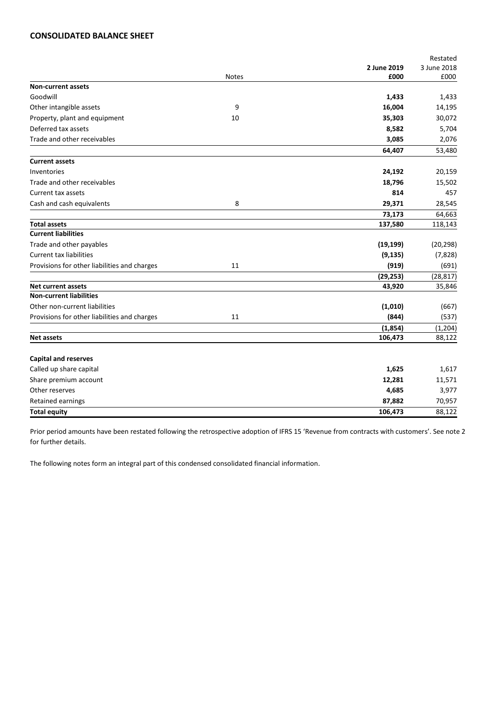## **CONSOLIDATED BALANCE SHEET**

|                                              |              |             | Restated    |
|----------------------------------------------|--------------|-------------|-------------|
|                                              |              | 2 June 2019 | 3 June 2018 |
|                                              | <b>Notes</b> | £000        | £000        |
| <b>Non-current assets</b>                    |              |             |             |
| Goodwill                                     |              | 1,433       | 1,433       |
| Other intangible assets                      | 9            | 16,004      | 14,195      |
| Property, plant and equipment                | 10           | 35,303      | 30,072      |
| Deferred tax assets                          |              | 8,582       | 5,704       |
| Trade and other receivables                  |              | 3,085       | 2,076       |
|                                              |              | 64,407      | 53,480      |
| <b>Current assets</b>                        |              |             |             |
| Inventories                                  |              | 24,192      | 20,159      |
| Trade and other receivables                  |              | 18,796      | 15,502      |
| Current tax assets                           |              | 814         | 457         |
| Cash and cash equivalents                    | 8            | 29,371      | 28,545      |
|                                              |              | 73,173      | 64,663      |
| <b>Total assets</b>                          |              | 137,580     | 118,143     |
| <b>Current liabilities</b>                   |              |             |             |
| Trade and other payables                     |              | (19, 199)   | (20, 298)   |
| <b>Current tax liabilities</b>               |              | (9, 135)    | (7,828)     |
| Provisions for other liabilities and charges | 11           | (919)       | (691)       |
|                                              |              | (29, 253)   | (28, 817)   |
| <b>Net current assets</b>                    |              | 43,920      | 35,846      |
| <b>Non-current liabilities</b>               |              |             |             |
| Other non-current liabilities                |              | (1,010)     | (667)       |
| Provisions for other liabilities and charges | 11           | (844)       | (537)       |
|                                              |              | (1,854)     | (1, 204)    |
| <b>Net assets</b>                            |              | 106,473     | 88,122      |
|                                              |              |             |             |
| <b>Capital and reserves</b>                  |              |             |             |
| Called up share capital                      |              | 1,625       | 1,617       |
| Share premium account                        |              | 12,281      | 11,571      |
| Other reserves                               |              | 4,685       | 3,977       |
| Retained earnings                            |              | 87,882      | 70,957      |
| <b>Total equity</b>                          |              | 106,473     | 88,122      |

Prior period amounts have been restated following the retrospective adoption of IFRS 15 'Revenue from contracts with customers'. See note 2 for further details.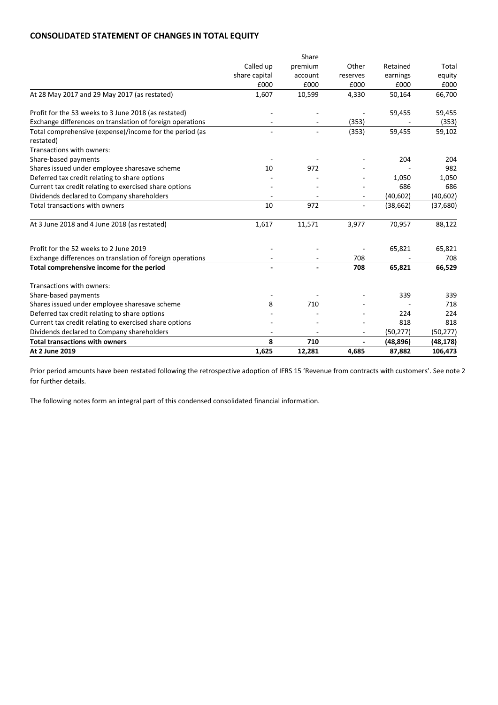# **CONSOLIDATED STATEMENT OF CHANGES IN TOTAL EQUITY**

|                                                           |                | Share                    |                          |           |           |
|-----------------------------------------------------------|----------------|--------------------------|--------------------------|-----------|-----------|
|                                                           | Called up      | premium                  | Other                    | Retained  | Total     |
|                                                           | share capital  | account                  | reserves                 | earnings  | equity    |
|                                                           | £000           | £000                     | £000                     | £000      | £000      |
| At 28 May 2017 and 29 May 2017 (as restated)              | 1,607          | 10,599                   | 4,330                    | 50,164    | 66,700    |
| Profit for the 53 weeks to 3 June 2018 (as restated)      |                |                          |                          | 59,455    | 59,455    |
| Exchange differences on translation of foreign operations |                |                          | (353)                    |           | (353)     |
| Total comprehensive (expense)/income for the period (as   | $\blacksquare$ | $\overline{\phantom{a}}$ | (353)                    | 59,455    | 59,102    |
| restated)                                                 |                |                          |                          |           |           |
| Transactions with owners:                                 |                |                          |                          |           |           |
| Share-based payments                                      |                |                          |                          | 204       | 204       |
| Shares issued under employee sharesave scheme             | 10             | 972                      |                          |           | 982       |
| Deferred tax credit relating to share options             |                |                          |                          | 1,050     | 1,050     |
| Current tax credit relating to exercised share options    |                |                          |                          | 686       | 686       |
| Dividends declared to Company shareholders                |                |                          | ٠                        | (40, 602) | (40, 602) |
| Total transactions with owners                            | 10             | 972                      | $\blacksquare$           | (38, 662) | (37, 680) |
| At 3 June 2018 and 4 June 2018 (as restated)              | 1,617          | 11,571                   | 3,977                    | 70,957    | 88,122    |
| Profit for the 52 weeks to 2 June 2019                    |                |                          |                          | 65,821    | 65,821    |
| Exchange differences on translation of foreign operations |                |                          | 708                      |           | 708       |
| Total comprehensive income for the period                 |                |                          | 708                      | 65,821    | 66,529    |
| Transactions with owners:                                 |                |                          |                          |           |           |
| Share-based payments                                      |                |                          |                          | 339       | 339       |
| Shares issued under employee sharesave scheme             | 8              | 710                      |                          |           | 718       |
| Deferred tax credit relating to share options             |                |                          |                          | 224       | 224       |
| Current tax credit relating to exercised share options    |                |                          |                          | 818       | 818       |
| Dividends declared to Company shareholders                |                |                          |                          | (50, 277) | (50, 277) |
| <b>Total transactions with owners</b>                     | 8              | 710                      | $\overline{\phantom{a}}$ | (48, 896) | (48, 178) |
| At 2 June 2019                                            | 1,625          | 12,281                   | 4,685                    | 87,882    | 106,473   |

Prior period amounts have been restated following the retrospective adoption of IFRS 15 'Revenue from contracts with customers'. See note 2 for further details.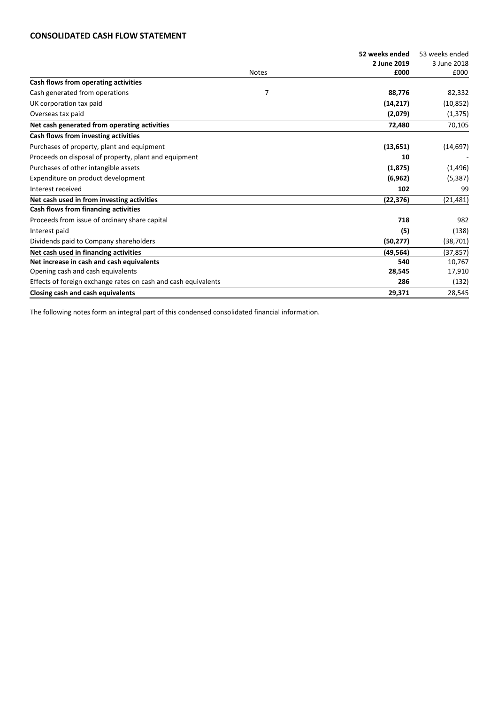# **CONSOLIDATED CASH FLOW STATEMENT**

|                                                                |              | 52 weeks ended | 53 weeks ended |
|----------------------------------------------------------------|--------------|----------------|----------------|
|                                                                |              | 2 June 2019    | 3 June 2018    |
|                                                                | <b>Notes</b> | £000           | £000           |
| Cash flows from operating activities                           |              |                |                |
| Cash generated from operations                                 | 7            | 88,776         | 82,332         |
| UK corporation tax paid                                        |              | (14, 217)      | (10, 852)      |
| Overseas tax paid                                              |              | (2,079)        | (1, 375)       |
| Net cash generated from operating activities                   |              | 72,480         | 70,105         |
| Cash flows from investing activities                           |              |                |                |
| Purchases of property, plant and equipment                     |              | (13, 651)      | (14, 697)      |
| Proceeds on disposal of property, plant and equipment          |              | 10             |                |
| Purchases of other intangible assets                           |              | (1, 875)       | (1, 496)       |
| Expenditure on product development                             |              | (6, 962)       | (5, 387)       |
| Interest received                                              |              | 102            | 99             |
| Net cash used in from investing activities                     |              | (22, 376)      | (21, 481)      |
| Cash flows from financing activities                           |              |                |                |
| Proceeds from issue of ordinary share capital                  |              | 718            | 982            |
| Interest paid                                                  |              | (5)            | (138)          |
| Dividends paid to Company shareholders                         |              | (50, 277)      | (38, 701)      |
| Net cash used in financing activities                          |              | (49, 564)      | (37, 857)      |
| Net increase in cash and cash equivalents                      |              | 540            | 10,767         |
| Opening cash and cash equivalents                              |              | 28,545         | 17,910         |
| Effects of foreign exchange rates on cash and cash equivalents |              | 286            | (132)          |
| Closing cash and cash equivalents                              |              | 29,371         | 28,545         |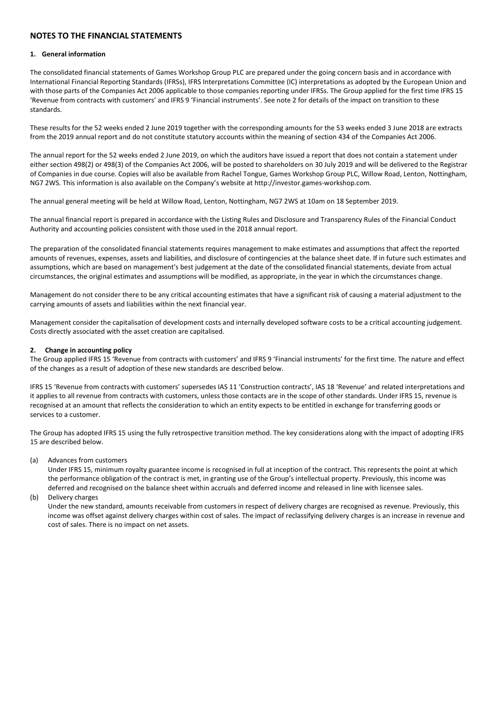## **NOTES TO THE FINANCIAL STATEMENTS**

#### **1. General information**

The consolidated financial statements of Games Workshop Group PLC are prepared under the going concern basis and in accordance with International Financial Reporting Standards (IFRSs), IFRS Interpretations Committee (IC) interpretations as adopted by the European Union and with those parts of the Companies Act 2006 applicable to those companies reporting under IFRSs. The Group applied for the first time IFRS 15 'Revenue from contracts with customers' and IFRS 9 'Financial instruments'. See note 2 for details of the impact on transition to these standards.

These results for the 52 weeks ended 2 June 2019 together with the corresponding amounts for the 53 weeks ended 3 June 2018 are extracts from the 2019 annual report and do not constitute statutory accounts within the meaning of section 434 of the Companies Act 2006.

The annual report for the 52 weeks ended 2 June 2019, on which the auditors have issued a report that does not contain a statement under either section 498(2) or 498(3) of the Companies Act 2006, will be posted to shareholders on 30 July 2019 and will be delivered to the Registrar of Companies in due course. Copies will also be available from Rachel Tongue, Games Workshop Group PLC, Willow Road, Lenton, Nottingham, NG7 2WS. This information is also available on the Company's website at http://investor.games-workshop.com.

The annual general meeting will be held at Willow Road, Lenton, Nottingham, NG7 2WS at 10am on 18 September 2019.

The annual financial report is prepared in accordance with the Listing Rules and Disclosure and Transparency Rules of the Financial Conduct Authority and accounting policies consistent with those used in the 2018 annual report.

The preparation of the consolidated financial statements requires management to make estimates and assumptions that affect the reported amounts of revenues, expenses, assets and liabilities, and disclosure of contingencies at the balance sheet date. If in future such estimates and assumptions, which are based on management's best judgement at the date of the consolidated financial statements, deviate from actual circumstances, the original estimates and assumptions will be modified, as appropriate, in the year in which the circumstances change.

Management do not consider there to be any critical accounting estimates that have a significant risk of causing a material adjustment to the carrying amounts of assets and liabilities within the next financial year.

Management consider the capitalisation of development costs and internally developed software costs to be a critical accounting judgement. Costs directly associated with the asset creation are capitalised.

#### **2. Change in accounting policy**

The Group applied IFRS 15 'Revenue from contracts with customers' and IFRS 9 'Financial instruments' for the first time. The nature and effect of the changes as a result of adoption of these new standards are described below.

IFRS 15 'Revenue from contracts with customers' supersedes IAS 11 'Construction contracts', IAS 18 'Revenue' and related interpretations and it applies to all revenue from contracts with customers, unless those contacts are in the scope of other standards. Under IFRS 15, revenue is recognised at an amount that reflects the consideration to which an entity expects to be entitled in exchange for transferring goods or services to a customer.

The Group has adopted IFRS 15 using the fully retrospective transition method. The key considerations along with the impact of adopting IFRS 15 are described below.

(a) Advances from customers

Under IFRS 15, minimum royalty guarantee income is recognised in full at inception of the contract. This represents the point at which the performance obligation of the contract is met, in granting use of the Group's intellectual property. Previously, this income was deferred and recognised on the balance sheet within accruals and deferred income and released in line with licensee sales.

(b) Delivery charges

Under the new standard, amounts receivable from customers in respect of delivery charges are recognised as revenue. Previously, this income was offset against delivery charges within cost of sales. The impact of reclassifying delivery charges is an increase in revenue and cost of sales. There is no impact on net assets.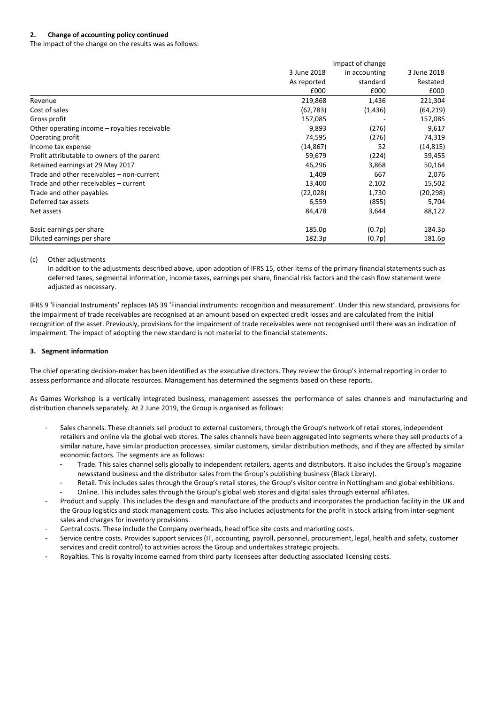### **2. Change of accounting policy continued**

The impact of the change on the results was as follows:

|                                               | Impact of change |               |             |
|-----------------------------------------------|------------------|---------------|-------------|
|                                               | 3 June 2018      | in accounting | 3 June 2018 |
|                                               | As reported      | standard      | Restated    |
|                                               | £000             | £000          | £000        |
| Revenue                                       | 219,868          | 1,436         | 221,304     |
| Cost of sales                                 | (62, 783)        | (1, 436)      | (64, 219)   |
| Gross profit                                  | 157,085          |               | 157,085     |
| Other operating income – royalties receivable | 9,893            | (276)         | 9,617       |
| Operating profit                              | 74,595           | (276)         | 74,319      |
| Income tax expense                            | (14,867)         | 52            | (14, 815)   |
| Profit attributable to owners of the parent   | 59,679           | (224)         | 59,455      |
| Retained earnings at 29 May 2017              | 46,296           | 3,868         | 50,164      |
| Trade and other receivables - non-current     | 1,409            | 667           | 2,076       |
| Trade and other receivables - current         | 13,400           | 2,102         | 15,502      |
| Trade and other payables                      | (22, 028)        | 1,730         | (20, 298)   |
| Deferred tax assets                           | 6,559            | (855)         | 5,704       |
| Net assets                                    | 84,478           | 3,644         | 88,122      |
| Basic earnings per share                      | 185.0p           | (0.7p)        | 184.3p      |
| Diluted earnings per share                    | 182.3p           | (0.7p)        | 181.6p      |

#### (c) Other adjustments

In addition to the adjustments described above, upon adoption of IFRS 15, other items of the primary financial statements such as deferred taxes, segmental information, income taxes, earnings per share, financial risk factors and the cash flow statement were adjusted as necessary.

IFRS 9 'Financial Instruments' replaces IAS 39 'Financial instruments: recognition and measurement'. Under this new standard, provisions for the impairment of trade receivables are recognised at an amount based on expected credit losses and are calculated from the initial recognition of the asset. Previously, provisions for the impairment of trade receivables were not recognised until there was an indication of impairment. The impact of adopting the new standard is not material to the financial statements.

#### **3. Segment information**

The chief operating decision-maker has been identified as the executive directors. They review the Group's internal reporting in order to assess performance and allocate resources. Management has determined the segments based on these reports.

As Games Workshop is a vertically integrated business, management assesses the performance of sales channels and manufacturing and distribution channels separately. At 2 June 2019, the Group is organised as follows:

- Sales channels. These channels sell product to external customers, through the Group's network of retail stores, independent retailers and online via the global web stores. The sales channels have been aggregated into segments where they sell products of a similar nature, have similar production processes, similar customers, similar distribution methods, and if they are affected by similar economic factors. The segments are as follows:
	- Trade. This sales channel sells globally to independent retailers, agents and distributors. It also includes the Group's magazine newsstand business and the distributor sales from the Group's publishing business (Black Library).
	- Retail. This includes sales through the Group's retail stores, the Group's visitor centre in Nottingham and global exhibitions.
	- Online. This includes sales through the Group's global web stores and digital sales through external affiliates.
- Product and supply. This includes the design and manufacture of the products and incorporates the production facility in the UK and the Group logistics and stock management costs. This also includes adjustments for the profit in stock arising from inter-segment sales and charges for inventory provisions.
- Central costs. These include the Company overheads, head office site costs and marketing costs.
- Service centre costs. Provides support services (IT, accounting, payroll, personnel, procurement, legal, health and safety, customer services and credit control) to activities across the Group and undertakes strategic projects.
- Royalties. This is royalty income earned from third party licensees after deducting associated licensing costs.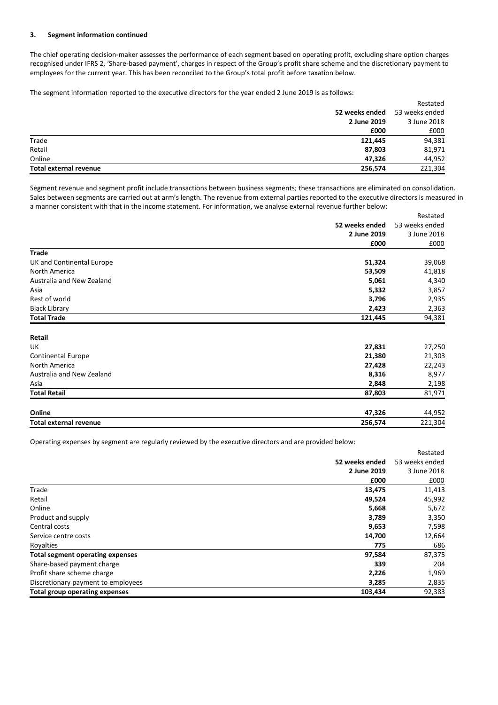#### **3. Segment information continued**

The chief operating decision-maker assesses the performance of each segment based on operating profit, excluding share option charges recognised under IFRS 2, 'Share-based payment', charges in respect of the Group's profit share scheme and the discretionary payment to employees for the current year. This has been reconciled to the Group's total profit before taxation below.

The segment information reported to the executive directors for the year ended 2 June 2019 is as follows:

| Total external revenue | 256,574        | 221,304        |
|------------------------|----------------|----------------|
| Online                 | 47.326         | 44,952         |
| Retail                 | 87,803         | 81,971         |
| Trade                  | 121,445        | 94,381         |
|                        | £000           | £000           |
|                        | 2 June 2019    | 3 June 2018    |
|                        | 52 weeks ended | 53 weeks ended |
|                        |                | Restated       |

Segment revenue and segment profit include transactions between business segments; these transactions are eliminated on consolidation. Sales between segments are carried out at arm's length. The revenue from external parties reported to the executive directors is measured in a manner consistent with that in the income statement. For information, we analyse external revenue further below:

|                               |                | Restated       |
|-------------------------------|----------------|----------------|
|                               | 52 weeks ended | 53 weeks ended |
|                               | 2 June 2019    | 3 June 2018    |
|                               | £000           | £000           |
| <b>Trade</b>                  |                |                |
| UK and Continental Europe     | 51,324         | 39,068         |
| North America                 | 53,509         | 41,818         |
| Australia and New Zealand     | 5,061          | 4,340          |
| Asia                          | 5,332          | 3,857          |
| Rest of world                 | 3,796          | 2,935          |
| <b>Black Library</b>          | 2,423          | 2,363          |
| <b>Total Trade</b>            | 121,445        | 94,381         |
| Retail                        |                |                |
| UK                            | 27,831         | 27,250         |
| <b>Continental Europe</b>     | 21,380         | 21,303         |
| North America                 | 27,428         | 22,243         |
| Australia and New Zealand     | 8,316          | 8,977          |
| Asia                          | 2,848          | 2,198          |
| <b>Total Retail</b>           | 87,803         | 81,971         |
| Online                        | 47,326         | 44,952         |
| <b>Total external revenue</b> | 256,574        | 221,304        |

Operating expenses by segment are regularly reviewed by the executive directors and are provided below:

|                                         |                | Restated       |
|-----------------------------------------|----------------|----------------|
|                                         | 52 weeks ended | 53 weeks ended |
|                                         | 2 June 2019    | 3 June 2018    |
|                                         | £000           | £000           |
| Trade                                   | 13,475         | 11,413         |
| Retail                                  | 49,524         | 45,992         |
| Online                                  | 5,668          | 5,672          |
| Product and supply                      | 3,789          | 3,350          |
| Central costs                           | 9,653          | 7,598          |
| Service centre costs                    | 14,700         | 12,664         |
| Royalties                               | 775            | 686            |
| <b>Total segment operating expenses</b> | 97,584         | 87,375         |
| Share-based payment charge              | 339            | 204            |
| Profit share scheme charge              | 2,226          | 1,969          |
| Discretionary payment to employees      | 3,285          | 2,835          |
| Total group operating expenses          | 103,434        | 92,383         |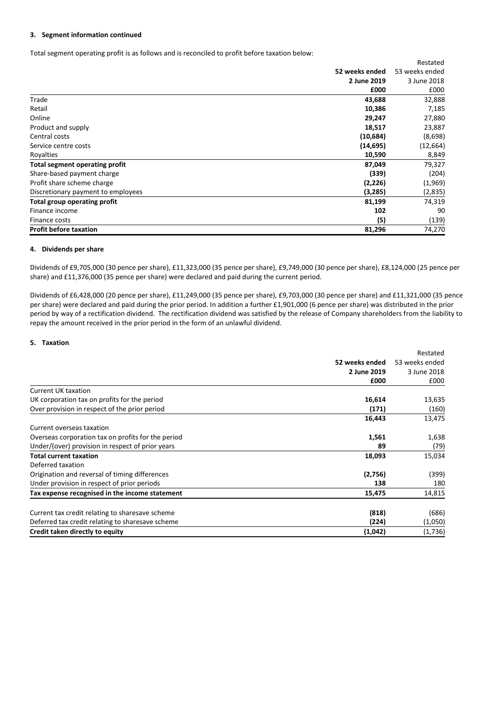#### **3. Segment information continued**

Total segment operating profit is as follows and is reconciled to profit before taxation below:

|                                    |                | Restated       |
|------------------------------------|----------------|----------------|
|                                    | 52 weeks ended | 53 weeks ended |
|                                    | 2 June 2019    | 3 June 2018    |
|                                    | £000           | £000           |
| Trade                              | 43,688         | 32,888         |
| Retail                             | 10,386         | 7,185          |
| Online                             | 29,247         | 27,880         |
| Product and supply                 | 18,517         | 23,887         |
| Central costs                      | (10,684)       | (8,698)        |
| Service centre costs               | (14, 695)      | (12, 664)      |
| Royalties                          | 10,590         | 8,849          |
| Total segment operating profit     | 87,049         | 79,327         |
| Share-based payment charge         | (339)          | (204)          |
| Profit share scheme charge         | (2,226)        | (1,969)        |
| Discretionary payment to employees | (3,285)        | (2,835)        |
| Total group operating profit       | 81,199         | 74,319         |
| Finance income                     | 102            | 90             |
| Finance costs                      | (5)            | (139)          |
| <b>Profit before taxation</b>      | 81,296         | 74,270         |

#### **4. Dividends per share**

Dividends of £9,705,000 (30 pence per share), £11,323,000 (35 pence per share), £9,749,000 (30 pence per share), £8,124,000 (25 pence per share) and £11,376,000 (35 pence per share) were declared and paid during the current period.

Dividends of £6,428,000 (20 pence per share), £11,249,000 (35 pence per share), £9,703,000 (30 pence per share) and £11,321,000 (35 pence per share) were declared and paid during the prior period. In addition a further £1,901,000 (6 pence per share) was distributed in the prior period by way of a rectification dividend. The rectification dividend was satisfied by the release of Company shareholders from the liability to repay the amount received in the prior period in the form of an unlawful dividend.

#### **5. Taxation**

|                                                    | Restated       |                |
|----------------------------------------------------|----------------|----------------|
|                                                    | 52 weeks ended | 53 weeks ended |
|                                                    | 2 June 2019    | 3 June 2018    |
|                                                    | £000           | £000           |
| <b>Current UK taxation</b>                         |                |                |
| UK corporation tax on profits for the period       | 16,614         | 13,635         |
| Over provision in respect of the prior period      | (171)          | (160)          |
|                                                    | 16,443         | 13,475         |
| Current overseas taxation                          |                |                |
| Overseas corporation tax on profits for the period | 1,561          | 1,638          |
| Under/(over) provision in respect of prior years   | 89             | (79)           |
| <b>Total current taxation</b>                      | 18,093         | 15,034         |
| Deferred taxation                                  |                |                |
| Origination and reversal of timing differences     | (2,756)        | (399)          |
| Under provision in respect of prior periods        | 138            | 180            |
| Tax expense recognised in the income statement     | 15,475         | 14,815         |
| Current tax credit relating to sharesave scheme    | (818)          | (686)          |
| Deferred tax credit relating to sharesave scheme   | (224)          | (1,050)        |
| Credit taken directly to equity                    | (1,042)        | (1,736)        |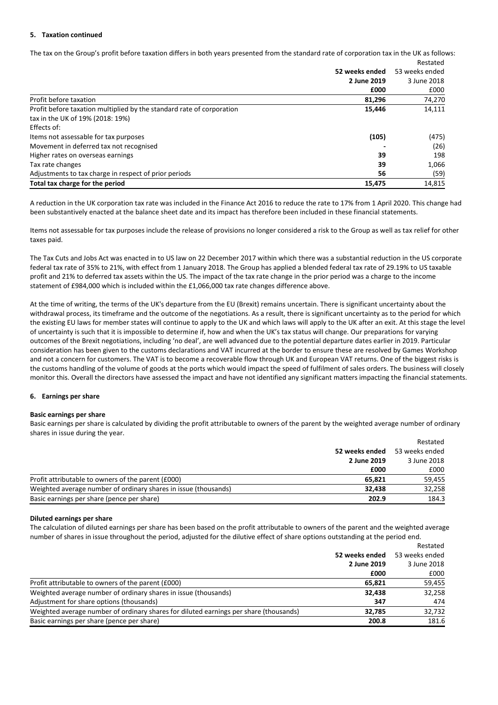#### **5. Taxation continued**

The tax on the Group's profit before taxation differs in both years presented from the standard rate of corporation tax in the UK as follows: Restated

|                                                                       | 52 weeks ended<br>2 June 2019 | 53 weeks ended<br>3 June 2018 |
|-----------------------------------------------------------------------|-------------------------------|-------------------------------|
|                                                                       |                               |                               |
|                                                                       | £000                          | £000                          |
| Profit before taxation                                                | 81,296                        | 74,270                        |
| Profit before taxation multiplied by the standard rate of corporation | 15,446                        | 14,111                        |
| tax in the UK of 19% (2018: 19%)                                      |                               |                               |
| Effects of:                                                           |                               |                               |
| Items not assessable for tax purposes                                 | (105)                         | (475)                         |
| Movement in deferred tax not recognised                               |                               | (26)                          |
| Higher rates on overseas earnings                                     | 39                            | 198                           |
| Tax rate changes                                                      | 39                            | 1,066                         |
| Adjustments to tax charge in respect of prior periods                 | 56                            | (59)                          |
| Total tax charge for the period                                       | 15,475                        | 14,815                        |

A reduction in the UK corporation tax rate was included in the Finance Act 2016 to reduce the rate to 17% from 1 April 2020. This change had been substantively enacted at the balance sheet date and its impact has therefore been included in these financial statements.

Items not assessable for tax purposes include the release of provisions no longer considered a risk to the Group as well as tax relief for other taxes paid.

The Tax Cuts and Jobs Act was enacted in to US law on 22 December 2017 within which there was a substantial reduction in the US corporate federal tax rate of 35% to 21%, with effect from 1 January 2018. The Group has applied a blended federal tax rate of 29.19% to US taxable profit and 21% to deferred tax assets within the US. The impact of the tax rate change in the prior period was a charge to the income statement of £984,000 which is included within the £1,066,000 tax rate changes difference above.

At the time of writing, the terms of the UK's departure from the EU (Brexit) remains uncertain. There is significant uncertainty about the withdrawal process, its timeframe and the outcome of the negotiations. As a result, there is significant uncertainty as to the period for which the existing EU laws for member states will continue to apply to the UK and which laws will apply to the UK after an exit. At this stage the level of uncertainty is such that it is impossible to determine if, how and when the UK's tax status will change. Our preparations for varying outcomes of the Brexit negotiations, including 'no deal', are well advanced due to the potential departure dates earlier in 2019. Particular consideration has been given to the customs declarations and VAT incurred at the border to ensure these are resolved by Games Workshop and not a concern for customers. The VAT is to become a recoverable flow through UK and European VAT returns. One of the biggest risks is the customs handling of the volume of goods at the ports which would impact the speed of fulfilment of sales orders. The business will closely monitor this. Overall the directors have assessed the impact and have not identified any significant matters impacting the financial statements.

#### **6. Earnings per share**

#### **Basic earnings per share**

Basic earnings per share is calculated by dividing the profit attributable to owners of the parent by the weighted average number of ordinary shares in issue during the year.

|                                                                 |                               | Restated       |
|-----------------------------------------------------------------|-------------------------------|----------------|
|                                                                 | 52 weeks ended<br>2 June 2019 | 53 weeks ended |
|                                                                 |                               | 3 June 2018    |
|                                                                 | £000                          | £000           |
| Profit attributable to owners of the parent (£000)              | 65.821                        | 59,455         |
| Weighted average number of ordinary shares in issue (thousands) | 32.438                        | 32,258         |
| Basic earnings per share (pence per share)                      | 202.9                         | 184.3          |

#### **Diluted earnings per share**

The calculation of diluted earnings per share has been based on the profit attributable to owners of the parent and the weighted average number of shares in issue throughout the period, adjusted for the dilutive effect of share options outstanding at the period end.

|                                                                                       |                               | Restated                      |  |
|---------------------------------------------------------------------------------------|-------------------------------|-------------------------------|--|
|                                                                                       | 52 weeks ended<br>2 June 2019 | 53 weeks ended<br>3 June 2018 |  |
|                                                                                       |                               |                               |  |
|                                                                                       | £000                          | £000                          |  |
| Profit attributable to owners of the parent (£000)                                    | 65.821                        | 59,455                        |  |
| Weighted average number of ordinary shares in issue (thousands)                       | 32,438                        | 32,258                        |  |
| Adjustment for share options (thousands)                                              | 347                           | 474                           |  |
| Weighted average number of ordinary shares for diluted earnings per share (thousands) | 32.785                        | 32,732                        |  |
| Basic earnings per share (pence per share)                                            | 200.8                         | 181.6                         |  |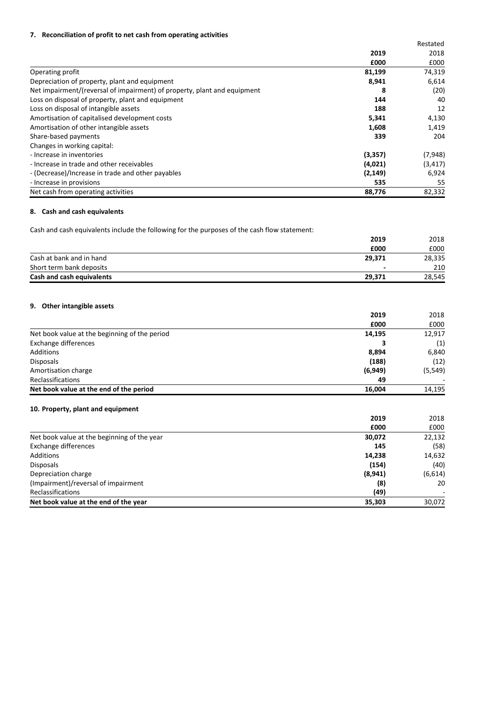## **7. Reconciliation of profit to net cash from operating activities**

|                                                                          |          | Restated |
|--------------------------------------------------------------------------|----------|----------|
|                                                                          | 2019     | 2018     |
|                                                                          | £000     | £000     |
| Operating profit                                                         | 81,199   | 74,319   |
| Depreciation of property, plant and equipment                            | 8,941    | 6,614    |
| Net impairment/(reversal of impairment) of property, plant and equipment | 8        | (20)     |
| Loss on disposal of property, plant and equipment                        | 144      | 40       |
| Loss on disposal of intangible assets                                    | 188      | 12       |
| Amortisation of capitalised development costs                            | 5,341    | 4,130    |
| Amortisation of other intangible assets                                  | 1,608    | 1,419    |
| Share-based payments                                                     | 339      | 204      |
| Changes in working capital:                                              |          |          |
| - Increase in inventories                                                | (3,357)  | (7,948)  |
| - Increase in trade and other receivables                                | (4,021)  | (3, 417) |
| - (Decrease)/Increase in trade and other payables                        | (2, 149) | 6,924    |
| - Increase in provisions                                                 | 535      | 55       |
| Net cash from operating activities                                       | 88,776   | 82,332   |

## **8. Cash and cash equivalents**

Cash and cash equivalents include the following for the purposes of the cash flow statement:

|                           | 2019                     | 2018   |
|---------------------------|--------------------------|--------|
|                           | £000                     | £000   |
| Cash at bank and in hand  | 29,371                   | 28,335 |
| Short term bank deposits  | $\overline{\phantom{0}}$ | 210    |
| Cash and cash equivalents | 29.371                   | 28,545 |

## **9. Other intangible assets**

|                                               | 2019     | 2018     |
|-----------------------------------------------|----------|----------|
|                                               | £000     | £000     |
| Net book value at the beginning of the period | 14,195   | 12,917   |
| Exchange differences                          |          | (1)      |
| Additions                                     | 8,894    | 6,840    |
| <b>Disposals</b>                              | (188)    | (12)     |
| Amortisation charge                           | (6, 949) | (5, 549) |
| <b>Reclassifications</b>                      | 49       |          |
| Net book value at the end of the period       | 16.004   | 14,195   |

## **10. Property, plant and equipment**

|                                             | 2019    | 2018    |
|---------------------------------------------|---------|---------|
|                                             | £000    | £000    |
| Net book value at the beginning of the year | 30,072  | 22,132  |
| Exchange differences                        | 145     | (58)    |
| Additions                                   | 14,238  | 14,632  |
| <b>Disposals</b>                            | (154)   | (40)    |
| Depreciation charge                         | (8,941) | (6,614) |
| (Impairment)/reversal of impairment         | (8)     | 20      |
| <b>Reclassifications</b>                    | (49)    |         |
| Net book value at the end of the year       | 35.303  | 30,072  |